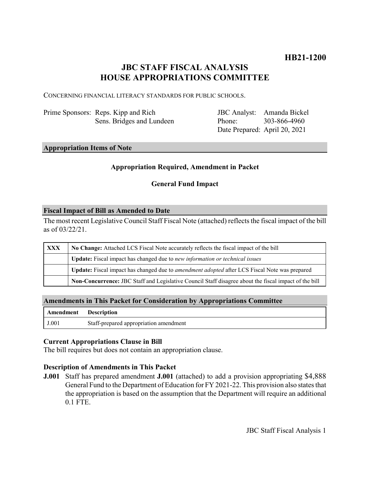# **JBC STAFF FISCAL ANALYSIS HOUSE APPROPRIATIONS COMMITTEE**

CONCERNING FINANCIAL LITERACY STANDARDS FOR PUBLIC SCHOOLS.

| Prime Sponsors: Reps. Kipp and Rich |
|-------------------------------------|
| Sens. Bridges and Lundeen           |

JBC Analyst: Amanda Bickel Phone: Date Prepared: April 20, 2021 303-866-4960

## **Appropriation Items of Note**

### **Appropriation Required, Amendment in Packet**

### **General Fund Impact**

#### **Fiscal Impact of Bill as Amended to Date**

The most recent Legislative Council Staff Fiscal Note (attached) reflects the fiscal impact of the bill as of 03/22/21.

| XXX | No Change: Attached LCS Fiscal Note accurately reflects the fiscal impact of the bill                 |  |
|-----|-------------------------------------------------------------------------------------------------------|--|
|     | Update: Fiscal impact has changed due to new information or technical issues                          |  |
|     | Update: Fiscal impact has changed due to <i>amendment adopted</i> after LCS Fiscal Note was prepared  |  |
|     | Non-Concurrence: JBC Staff and Legislative Council Staff disagree about the fiscal impact of the bill |  |

### **Amendments in This Packet for Consideration by Appropriations Committee**

| Amendment Description |                                        |
|-----------------------|----------------------------------------|
| J.001                 | Staff-prepared appropriation amendment |

### **Current Appropriations Clause in Bill**

The bill requires but does not contain an appropriation clause.

### **Description of Amendments in This Packet**

**J.001** Staff has prepared amendment **J.001** (attached) to add a provision appropriating \$4,888 General Fund to the Department of Education for FY 2021-22. This provision also states that the appropriation is based on the assumption that the Department will require an additional 0.1 FTE.